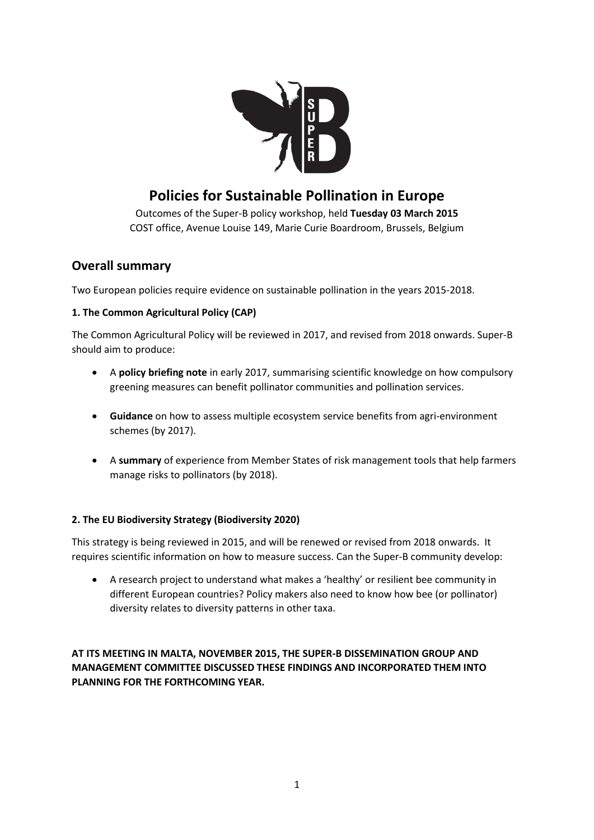

# **Policies for Sustainable Pollination in Europe**

Outcomes of the Super-B policy workshop, held **Tuesday 03 March 2015** COST office, Avenue Louise 149, Marie Curie Boardroom, Brussels, Belgium

## **Overall summary**

Two European policies require evidence on sustainable pollination in the years 2015-2018.

### **1. The Common Agricultural Policy (CAP)**

The Common Agricultural Policy will be reviewed in 2017, and revised from 2018 onwards. Super-B should aim to produce:

- A **policy briefing note** in early 2017, summarising scientific knowledge on how compulsory greening measures can benefit pollinator communities and pollination services.
- **Guidance** on how to assess multiple ecosystem service benefits from agri-environment schemes (by 2017).
- A **summary** of experience from Member States of risk management tools that help farmers manage risks to pollinators (by 2018).

### **2. The EU Biodiversity Strategy (Biodiversity 2020)**

This strategy is being reviewed in 2015, and will be renewed or revised from 2018 onwards. It requires scientific information on how to measure success. Can the Super-B community develop:

• A research project to understand what makes a 'healthy' or resilient bee community in different European countries? Policy makers also need to know how bee (or pollinator) diversity relates to diversity patterns in other taxa.

**AT ITS MEETING IN MALTA, NOVEMBER 2015, THE SUPER-B DISSEMINATION GROUP AND MANAGEMENT COMMITTEE DISCUSSED THESE FINDINGS AND INCORPORATED THEM INTO PLANNING FOR THE FORTHCOMING YEAR.**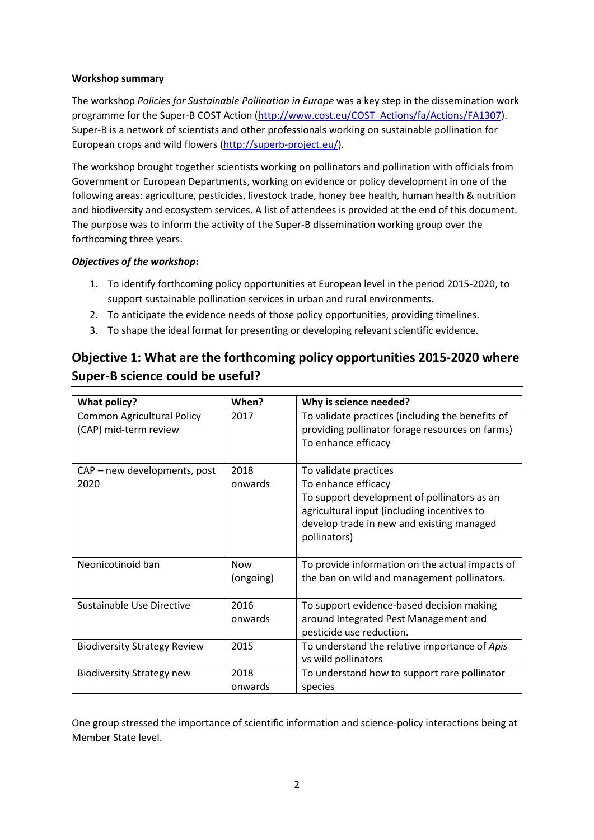#### **Workshop summary**

The workshop *Policies for Sustainable Pollination in Europe* was a key step in the dissemination work programme for the Super-B COST Action (http://www.cost.eu/COST Actions/fa/Actions/FA1307). Super-B is a network of scientists and other professionals working on sustainable pollination for European crops and wild flowers [\(http://superb-project.eu/\)](http://superb-project.eu/).

The workshop brought together scientists working on pollinators and pollination with officials from Government or European Departments, working on evidence or policy development in one of the following areas: agriculture, pesticides, livestock trade, honey bee health, human health & nutrition and biodiversity and ecosystem services. A list of attendees is provided at the end of this document. The purpose was to inform the activity of the Super-B dissemination working group over the forthcoming three years.

#### *Objectives of the workshop***:**

- 1. To identify forthcoming policy opportunities at European level in the period 2015-2020, to support sustainable pollination services in urban and rural environments.
- 2. To anticipate the evidence needs of those policy opportunities, providing timelines.
- 3. To shape the ideal format for presenting or developing relevant scientific evidence.

# **Objective 1: What are the forthcoming policy opportunities 2015-2020 where Super-B science could be useful?**

| What policy?                                               | When?                   | Why is science needed?                                                                                                                                                                                  |
|------------------------------------------------------------|-------------------------|---------------------------------------------------------------------------------------------------------------------------------------------------------------------------------------------------------|
| <b>Common Agricultural Policy</b><br>(CAP) mid-term review | 2017                    | To validate practices (including the benefits of<br>providing pollinator forage resources on farms)<br>To enhance efficacy                                                                              |
| CAP - new developments, post<br>2020                       | 2018<br>onwards         | To validate practices<br>To enhance efficacy<br>To support development of pollinators as an<br>agricultural input (including incentives to<br>develop trade in new and existing managed<br>pollinators) |
| Neonicotinoid ban                                          | <b>Now</b><br>(ongoing) | To provide information on the actual impacts of<br>the ban on wild and management pollinators.                                                                                                          |
| Sustainable Use Directive                                  | 2016<br>onwards         | To support evidence-based decision making<br>around Integrated Pest Management and<br>pesticide use reduction.                                                                                          |
| <b>Biodiversity Strategy Review</b>                        | 2015                    | To understand the relative importance of Apis<br>vs wild pollinators                                                                                                                                    |
| <b>Biodiversity Strategy new</b>                           | 2018<br>onwards         | To understand how to support rare pollinator<br>species                                                                                                                                                 |

One group stressed the importance of scientific information and science-policy interactions being at Member State level.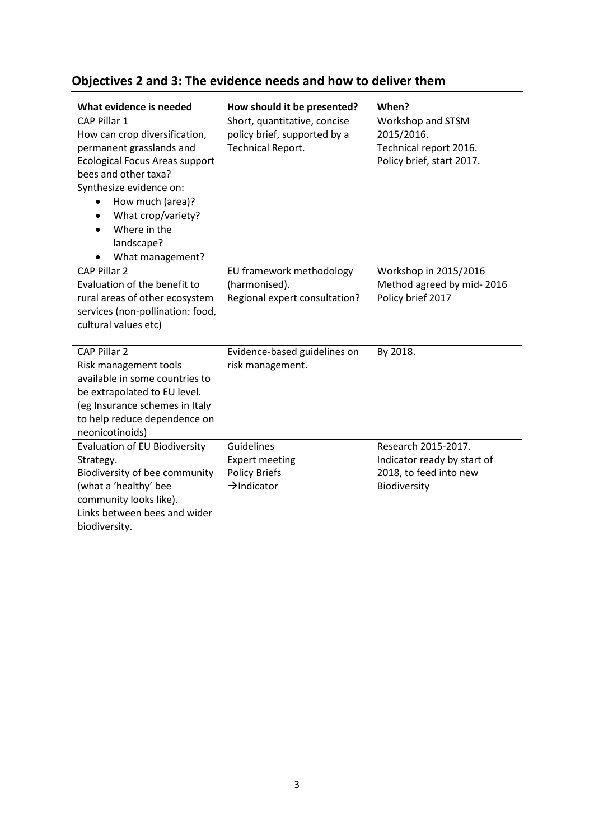| Objectives 2 and 3: The evidence needs and how to deliver them |  |  |  |
|----------------------------------------------------------------|--|--|--|
|----------------------------------------------------------------|--|--|--|

| What evidence is needed               | How should it be presented?   | When?                       |
|---------------------------------------|-------------------------------|-----------------------------|
| CAP Pillar 1                          | Short, quantitative, concise  | Workshop and STSM           |
| How can crop diversification,         | policy brief, supported by a  | 2015/2016.                  |
| permanent grasslands and              | Technical Report.             | Technical report 2016.      |
| <b>Ecological Focus Areas support</b> |                               | Policy brief, start 2017.   |
| bees and other taxa?                  |                               |                             |
| Synthesize evidence on:               |                               |                             |
| How much (area)?                      |                               |                             |
| What crop/variety?                    |                               |                             |
| Where in the                          |                               |                             |
| landscape?                            |                               |                             |
| What management?                      |                               |                             |
| <b>CAP Pillar 2</b>                   | EU framework methodology      | Workshop in 2015/2016       |
| Evaluation of the benefit to          | (harmonised).                 | Method agreed by mid-2016   |
| rural areas of other ecosystem        | Regional expert consultation? | Policy brief 2017           |
| services (non-pollination: food,      |                               |                             |
| cultural values etc)                  |                               |                             |
|                                       |                               |                             |
| CAP Pillar 2                          | Evidence-based guidelines on  | By 2018.                    |
| Risk management tools                 | risk management.              |                             |
| available in some countries to        |                               |                             |
| be extrapolated to EU level.          |                               |                             |
| (eg Insurance schemes in Italy        |                               |                             |
| to help reduce dependence on          |                               |                             |
| neonicotinoids)                       |                               |                             |
| Evaluation of EU Biodiversity         | Guidelines                    | Research 2015-2017.         |
| Strategy.                             | <b>Expert meeting</b>         | Indicator ready by start of |
| Biodiversity of bee community         | <b>Policy Briefs</b>          | 2018, to feed into new      |
| (what a 'healthy' bee                 | $\rightarrow$ Indicator       | Biodiversity                |
| community looks like).                |                               |                             |
| Links between bees and wider          |                               |                             |
| biodiversity.                         |                               |                             |
|                                       |                               |                             |